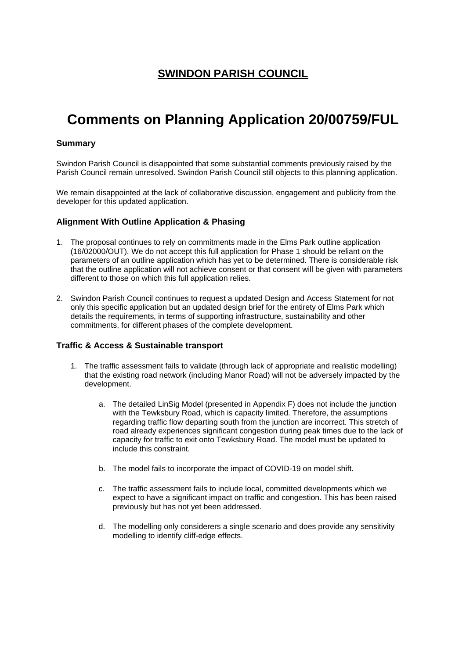# **Comments on Planning Application 20/00759/FUL**

### **Summary**

Swindon Parish Council is disappointed that some substantial comments previously raised by the Parish Council remain unresolved. Swindon Parish Council still objects to this planning application.

We remain disappointed at the lack of collaborative discussion, engagement and publicity from the developer for this updated application.

#### **Alignment With Outline Application & Phasing**

- 1. The proposal continues to rely on commitments made in the Elms Park outline application (16/02000/OUT). We do not accept this full application for Phase 1 should be reliant on the parameters of an outline application which has yet to be determined. There is considerable risk that the outline application will not achieve consent or that consent will be given with parameters different to those on which this full application relies.
- 2. Swindon Parish Council continues to request a updated Design and Access Statement for not only this specific application but an updated design brief for the entirety of Elms Park which details the requirements, in terms of supporting infrastructure, sustainability and other commitments, for different phases of the complete development.

#### **Traffic & Access & Sustainable transport**

- 1. The traffic assessment fails to validate (through lack of appropriate and realistic modelling) that the existing road network (including Manor Road) will not be adversely impacted by the development.
	- a. The detailed LinSig Model (presented in Appendix F) does not include the junction with the Tewksbury Road, which is capacity limited. Therefore, the assumptions regarding traffic flow departing south from the junction are incorrect. This stretch of road already experiences significant congestion during peak times due to the lack of capacity for traffic to exit onto Tewksbury Road. The model must be updated to include this constraint.
	- b. The model fails to incorporate the impact of COVID-19 on model shift.
	- c. The traffic assessment fails to include local, committed developments which we expect to have a significant impact on traffic and congestion. This has been raised previously but has not yet been addressed.
	- d. The modelling only considerers a single scenario and does provide any sensitivity modelling to identify cliff-edge effects.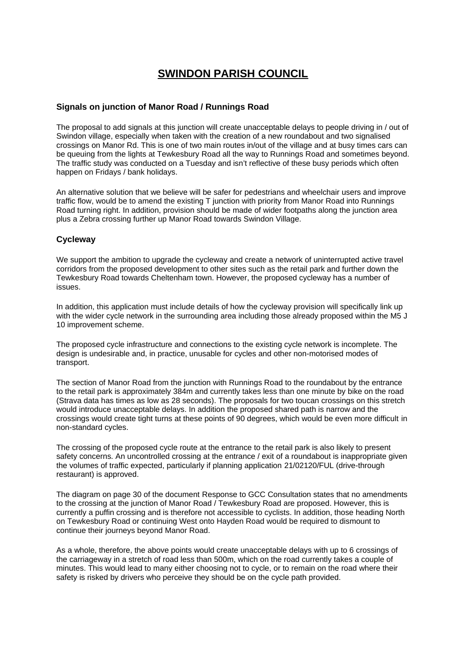#### **Signals on junction of Manor Road / Runnings Road**

The proposal to add signals at this junction will create unacceptable delays to people driving in / out of Swindon village, especially when taken with the creation of a new roundabout and two signalised crossings on Manor Rd. This is one of two main routes in/out of the village and at busy times cars can be queuing from the lights at Tewkesbury Road all the way to Runnings Road and sometimes beyond. The traffic study was conducted on a Tuesday and isn't reflective of these busy periods which often happen on Fridays / bank holidays.

An alternative solution that we believe will be safer for pedestrians and wheelchair users and improve traffic flow, would be to amend the existing T junction with priority from Manor Road into Runnings Road turning right. In addition, provision should be made of wider footpaths along the junction area plus a Zebra crossing further up Manor Road towards Swindon Village.

#### **Cycleway**

We support the ambition to upgrade the cycleway and create a network of uninterrupted active travel corridors from the proposed development to other sites such as the retail park and further down the Tewkesbury Road towards Cheltenham town. However, the proposed cycleway has a number of issues.

In addition, this application must include details of how the cycleway provision will specifically link up with the wider cycle network in the surrounding area including those already proposed within the M5 J 10 improvement scheme.

The proposed cycle infrastructure and connections to the existing cycle network is incomplete. The design is undesirable and, in practice, unusable for cycles and other non-motorised modes of transport.

The section of Manor Road from the junction with Runnings Road to the roundabout by the entrance to the retail park is approximately 384m and currently takes less than one minute by bike on the road (Strava data has times as low as 28 seconds). The proposals for two toucan crossings on this stretch would introduce unacceptable delays. In addition the proposed shared path is narrow and the crossings would create tight turns at these points of 90 degrees, which would be even more difficult in non-standard cycles.

The crossing of the proposed cycle route at the entrance to the retail park is also likely to present safety concerns. An uncontrolled crossing at the entrance / exit of a roundabout is inappropriate given the volumes of traffic expected, particularly if planning application 21/02120/FUL (drive-through restaurant) is approved.

The diagram on page 30 of the document Response to GCC Consultation states that no amendments to the crossing at the junction of Manor Road / Tewkesbury Road are proposed. However, this is currently a puffin crossing and is therefore not accessible to cyclists. In addition, those heading North on Tewkesbury Road or continuing West onto Hayden Road would be required to dismount to continue their journeys beyond Manor Road.

As a whole, therefore, the above points would create unacceptable delays with up to 6 crossings of the carriageway in a stretch of road less than 500m, which on the road currently takes a couple of minutes. This would lead to many either choosing not to cycle, or to remain on the road where their safety is risked by drivers who perceive they should be on the cycle path provided.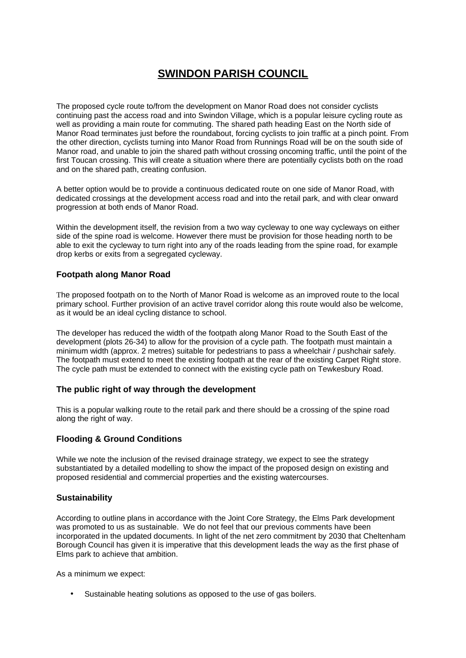The proposed cycle route to/from the development on Manor Road does not consider cyclists continuing past the access road and into Swindon Village, which is a popular leisure cycling route as well as providing a main route for commuting. The shared path heading East on the North side of Manor Road terminates just before the roundabout, forcing cyclists to join traffic at a pinch point. From the other direction, cyclists turning into Manor Road from Runnings Road will be on the south side of Manor road, and unable to join the shared path without crossing oncoming traffic, until the point of the first Toucan crossing. This will create a situation where there are potentially cyclists both on the road and on the shared path, creating confusion.

A better option would be to provide a continuous dedicated route on one side of Manor Road, with dedicated crossings at the development access road and into the retail park, and with clear onward progression at both ends of Manor Road.

Within the development itself, the revision from a two way cycleway to one way cycleways on either side of the spine road is welcome. However there must be provision for those heading north to be able to exit the cycleway to turn right into any of the roads leading from the spine road, for example drop kerbs or exits from a segregated cycleway.

### **Footpath along Manor Road**

The proposed footpath on to the North of Manor Road is welcome as an improved route to the local primary school. Further provision of an active travel corridor along this route would also be welcome, as it would be an ideal cycling distance to school.

The developer has reduced the width of the footpath along Manor Road to the South East of the development (plots 26-34) to allow for the provision of a cycle path. The footpath must maintain a minimum width (approx. 2 metres) suitable for pedestrians to pass a wheelchair / pushchair safely. The footpath must extend to meet the existing footpath at the rear of the existing Carpet Right store. The cycle path must be extended to connect with the existing cycle path on Tewkesbury Road.

#### **The public right of way through the development**

This is a popular walking route to the retail park and there should be a crossing of the spine road along the right of way.

### **Flooding & Ground Conditions**

While we note the inclusion of the revised drainage strategy, we expect to see the strategy substantiated by a detailed modelling to show the impact of the proposed design on existing and proposed residential and commercial properties and the existing watercourses.

#### **Sustainability**

According to outline plans in accordance with the Joint Core Strategy, the Elms Park development was promoted to us as sustainable. We do not feel that our previous comments have been incorporated in the updated documents. In light of the net zero commitment by 2030 that Cheltenham Borough Council has given it is imperative that this development leads the way as the first phase of Elms park to achieve that ambition.

As a minimum we expect:

• Sustainable heating solutions as opposed to the use of gas boilers.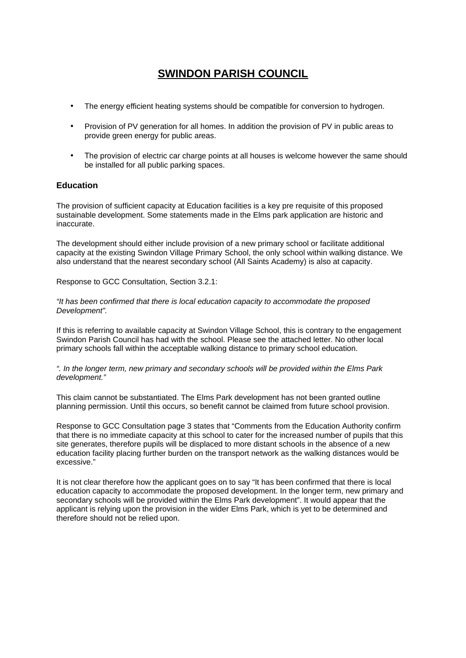- The energy efficient heating systems should be compatible for conversion to hydrogen.
- Provision of PV generation for all homes. In addition the provision of PV in public areas to provide green energy for public areas.
- The provision of electric car charge points at all houses is welcome however the same should be installed for all public parking spaces.

#### **Education**

The provision of sufficient capacity at Education facilities is a key pre requisite of this proposed sustainable development. Some statements made in the Elms park application are historic and inaccurate.

The development should either include provision of a new primary school or facilitate additional capacity at the existing Swindon Village Primary School, the only school within walking distance. We also understand that the nearest secondary school (All Saints Academy) is also at capacity.

Response to GCC Consultation, Section 3.2.1:

*"It has been confirmed that there is local education capacity to accommodate the proposed Development".*

If this is referring to available capacity at Swindon Village School, this is contrary to the engagement Swindon Parish Council has had with the school. Please see the attached letter. No other local primary schools fall within the acceptable walking distance to primary school education.

*". In the longer term, new primary and secondary schools will be provided within the Elms Park development."*

This claim cannot be substantiated. The Elms Park development has not been granted outline planning permission. Until this occurs, so benefit cannot be claimed from future school provision.

Response to GCC Consultation page 3 states that "Comments from the Education Authority confirm that there is no immediate capacity at this school to cater for the increased number of pupils that this site generates, therefore pupils will be displaced to more distant schools in the absence of a new education facility placing further burden on the transport network as the walking distances would be excessive."

It is not clear therefore how the applicant goes on to say "It has been confirmed that there is local education capacity to accommodate the proposed development. In the longer term, new primary and secondary schools will be provided within the Elms Park development". It would appear that the applicant is relying upon the provision in the wider Elms Park, which is yet to be determined and therefore should not be relied upon.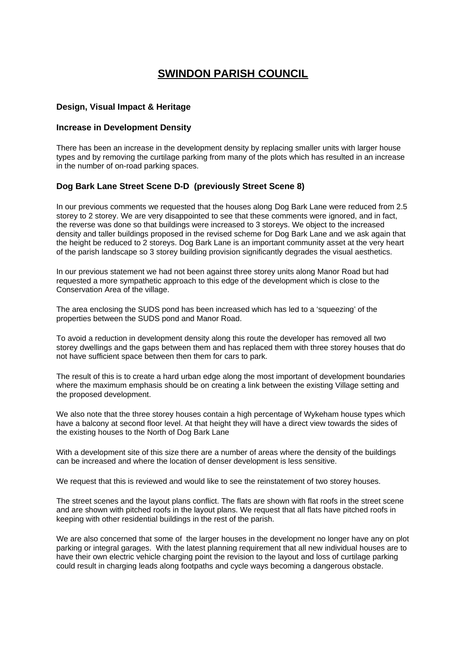#### **Design, Visual Impact & Heritage**

#### **Increase in Development Density**

There has been an increase in the development density by replacing smaller units with larger house types and by removing the curtilage parking from many of the plots which has resulted in an increase in the number of on-road parking spaces.

#### **Dog Bark Lane Street Scene D-D (previously Street Scene 8)**

In our previous comments we requested that the houses along Dog Bark Lane were reduced from 2.5 storey to 2 storey. We are very disappointed to see that these comments were ignored, and in fact, the reverse was done so that buildings were increased to 3 storeys. We object to the increased density and taller buildings proposed in the revised scheme for Dog Bark Lane and we ask again that the height be reduced to 2 storeys. Dog Bark Lane is an important community asset at the very heart of the parish landscape so 3 storey building provision significantly degrades the visual aesthetics.

In our previous statement we had not been against three storey units along Manor Road but had requested a more sympathetic approach to this edge of the development which is close to the Conservation Area of the village.

The area enclosing the SUDS pond has been increased which has led to a 'squeezing' of the properties between the SUDS pond and Manor Road.

To avoid a reduction in development density along this route the developer has removed all two storey dwellings and the gaps between them and has replaced them with three storey houses that do not have sufficient space between then them for cars to park.

The result of this is to create a hard urban edge along the most important of development boundaries where the maximum emphasis should be on creating a link between the existing Village setting and the proposed development.

We also note that the three storey houses contain a high percentage of Wykeham house types which have a balcony at second floor level. At that height they will have a direct view towards the sides of the existing houses to the North of Dog Bark Lane

With a development site of this size there are a number of areas where the density of the buildings can be increased and where the location of denser development is less sensitive.

We request that this is reviewed and would like to see the reinstatement of two storey houses.

The street scenes and the layout plans conflict. The flats are shown with flat roofs in the street scene and are shown with pitched roofs in the layout plans. We request that all flats have pitched roofs in keeping with other residential buildings in the rest of the parish.

We are also concerned that some of the larger houses in the development no longer have any on plot parking or integral garages. With the latest planning requirement that all new individual houses are to have their own electric vehicle charging point the revision to the layout and loss of curtilage parking could result in charging leads along footpaths and cycle ways becoming a dangerous obstacle.